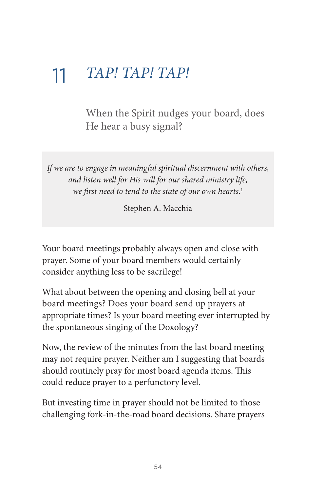## 11 | *TAP! TAP! TAP!*

When the Spirit nudges your board, does He hear a busy signal?

If we are to engage in meaningful spiritual discernment with others, and listen well for His will for our shared ministry life, we first need to tend to the state of our own hearts.<sup>1</sup>

Stephen A. Macchia

Your board meetings probably always open and close with prayer. Some of your board members would certainly consider anything less to be sacrilege!

What about between the opening and closing bell at your board meetings? Does your board send up prayers at appropriate times? Is your board meeting ever interrupted by the spontaneous singing of the Doxology?

Now, the review of the minutes from the last board meeting may not require prayer. Neither am I suggesting that boards should routinely pray for most board agenda items. This could reduce prayer to a perfunctory level.

But investing time in prayer should not be limited to those challenging fork-in-the-road board decisions. Share prayers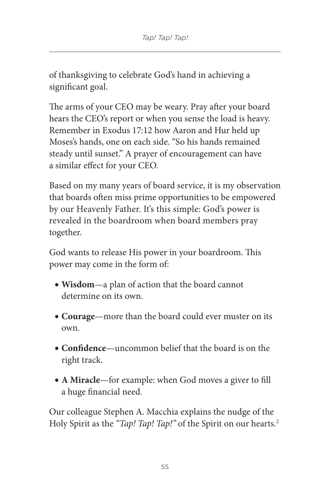of thanksgiving to celebrate God's hand in achieving a significant goal.

The arms of your CEO may be weary. Pray after your board hears the CEO's report or when you sense the load is heavy. Remember in Exodus 17:12 how Aaron and Hur held up Moses's hands, one on each side. "So his hands remained steady until sunset." A prayer of encouragement can have a similar effect for your CEo.

Based on my many years of board service, it is my observation that boards often miss prime opportunities to be empowered by our Heavenly Father. It's this simple: God's power is revealed in the boardroom when board members pray together.

God wants to release His power in your boardroom. This power may come in the form of:

- **• Wisdom**—a plan of action that the board cannot determine on its own.
- **• Courage**—more than the board could ever muster on its own.
- **• Confidence**—uncommon belief that the board is on the right track.
- **• A Miracle**—for example: when God moves a giver to fill a huge financial need.

Our colleague Stephen A. Macchia explains the nudge of the Holy Spirit as the "Tap! Tap! Tap!" of the Spirit on our hearts.<sup>2</sup>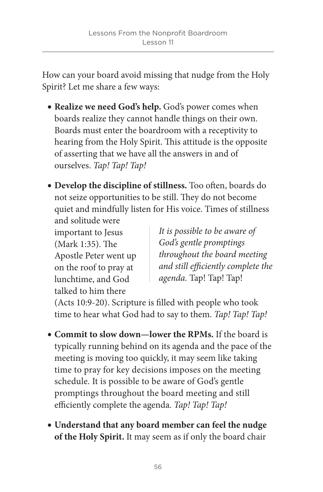How can your board avoid missing that nudge from the Holy Spirit? Let me share a few ways:

- **• Realize we need God's help.** God's power comes when boards realize they cannot handle things on their own. Boards must enter the boardroom with a receptivity to hearing from the Holy Spirit. This attitude is the opposite of asserting that we have all the answers in and of ourselves. Tap! Tap! Tap!
- Develop the discipline of stillness. Too often, boards do not seize opportunities to be still. They do not become quiet and mindfully listen for His voice. Times of stillness

and solitude were important to Jesus  $(Mark 1:35)$ . The Apostle Peter went up on the roof to pray at lunchtime, and God talked to him there

It is possible to be aware of God's gentle promptings throughout the board meeting and still efficiently complete the agenda. Tap! Tap! Tap!

(Acts 10:9-20). Scripture is filled with people who took time to hear what God had to say to them. Tap! Tap! Tap!

- **• Commit to slow down—lower the RPMs.** If the board is typically running behind on its agenda and the pace of the meeting is moving too quickly, it may seem like taking time to pray for key decisions imposes on the meeting schedule. It is possible to be aware of God's gentle promptings throughout the board meeting and still efficiently complete the agenda. Tap! Tap! Tap!
- **• Understand that any board member can feel the nudge of the Holy Spirit.** It may seem as if only the board chair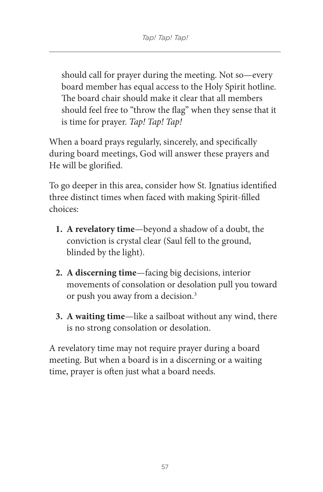should call for prayer during the meeting. Not so—every board member has equal access to the Holy Spirit hotline. The board chair should make it clear that all members should feel free to "throw the flag" when they sense that it is time for prayer. Tap! Tap! Tap!

When a board prays regularly, sincerely, and specifically during board meetings, God will answer these prayers and He will be glorified.

To go deeper in this area, consider how St. Ignatius identified three distinct times when faced with making Spirit-filled choices:

- **1. A revelatory time**—beyond a shadow of a doubt, the conviction is crystal clear (Saul fell to the ground, blinded by the light).
- **2. A discerning time**—facing big decisions, interior movements of consolation or desolation pull you toward or push you away from a decision. 3
- **3. A waiting time**—like a sailboat without any wind, there is no strong consolation or desolation.

A revelatory time may not require prayer during a board meeting. But when a board is in a discerning or a waiting time, prayer is often just what a board needs.